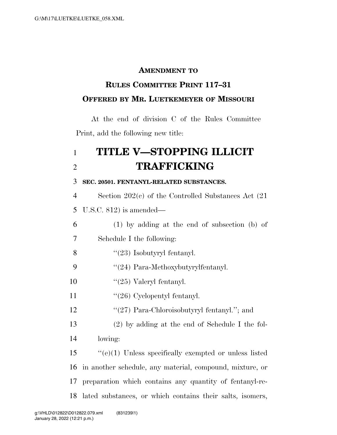#### **AMENDMENT TO**

## **RULES COMMITTEE PRINT 117–31 OFFERED BY MR. LUETKEMEYER OF MISSOURI**

At the end of division C of the Rules Committee Print, add the following new title:

# 1 **TITLE V—STOPPING ILLICIT**  2 **TRAFFICKING**

#### 3 **SEC. 20501. FENTANYL-RELATED SUBSTANCES.**

4 Section 202(c) of the Controlled Substances Act (21 5 U.S.C. 812) is amended—

6 (1) by adding at the end of subsection (b) of 7 Schedule I the following:

8  $"$ (23) Isobutyryl fentanyl.

- 9 ''(24) Para-Methoxybutyrylfentanyl.
- 10 ''(25) Valeryl fentanyl.

11 "(26) Cyclopentyl fentanyl.

12 "(27) Para-Chloroisobutyryl fentanyl."; and

13 (2) by adding at the end of Schedule I the fol-

14 lowing:

 ''(e)(1) Unless specifically exempted or unless listed in another schedule, any material, compound, mixture, or preparation which contains any quantity of fentanyl-re-lated substances, or which contains their salts, isomers,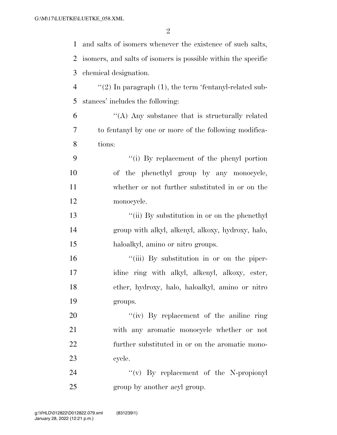| $\mathbf{1}$   | and salts of isomers whenever the existence of such salts,    |
|----------------|---------------------------------------------------------------|
| 2              | isomers, and salts of isomers is possible within the specific |
| 3              | chemical designation.                                         |
| $\overline{4}$ | $\lq(2)$ In paragraph (1), the term 'fentanyl-related sub-    |
| 5              | stances' includes the following:                              |
| 6              | "(A) Any substance that is structurally related               |
| 7              | to fentanyl by one or more of the following modifica-         |
| 8              | tions:                                                        |
| 9              | "(i) By replacement of the phenyl portion                     |
| 10             | of the phenethyl group by any monocycle,                      |
| 11             | whether or not further substituted in or on the               |
| 12             | monocycle.                                                    |
| 13             | "(ii) By substitution in or on the phenethyl                  |
| 14             | group with alkyl, alkenyl, alkoxy, hydroxy, halo,             |
| 15             | haloalkyl, amino or nitro groups.                             |
| 16             | "(iii) By substitution in or on the piper-                    |
| 17             | idine ring with alkyl, alkenyl, alkoxy, ester,                |
| 18             | ether, hydroxy, halo, haloalkyl, amino or nitro               |
| 19             | groups.                                                       |
| 20             | "(iv) By replacement of the aniline ring                      |
| 21             | with any aromatic monocycle whether or not                    |
| 22             | further substituted in or on the aromatic mono-               |
| 23             | cycle.                                                        |
| 24             | $``(v)$ By replacement of the N-propionyl                     |
| 25             | group by another acyl group.                                  |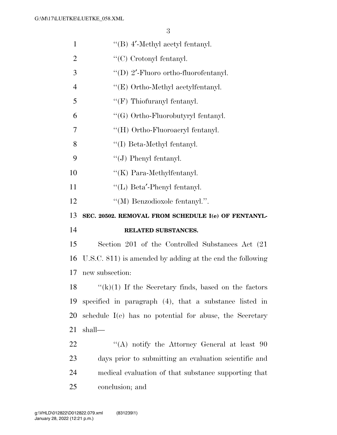| $\mathbf{1}$   | "(B) $4'$ -Methyl acetyl fentanyl.                        |
|----------------|-----------------------------------------------------------|
| $\overline{2}$ | $\lq\lq$ Crotonyl fentanyl.                               |
| 3              | "(D) $2'$ -Fluoro ortho-fluorofentanyl.                   |
| $\overline{4}$ | $\lq\lq$ (E) Ortho-Methyl acetylfentanyl.                 |
| 5              | $\lq\lq(F)$ Thiofuranyl fentanyl.                         |
| 6              | "(G) Ortho-Fluorobutyryl fentanyl.                        |
| 7              | "(H) Ortho-Fluoroacryl fentanyl.                          |
| 8              | "(I) Beta-Methyl fentanyl.                                |
| 9              | $\lq\lq (J)$ Phenyl fentanyl.                             |
| 10             | $\lq\lq(K)$ Para-Methylfentanyl.                          |
| 11             | "(L) Beta'-Phenyl fentanyl.                               |
| 12             | "(M) Benzodioxole fentanyl.".                             |
| 13             | SEC. 20502. REMOVAL FROM SCHEDULE I(e) OF FENTANYL-       |
|                |                                                           |
| 14             | RELATED SUBSTANCES.                                       |
| 15             | Section 201 of the Controlled Substances Act (21)         |
| 16             | U.S.C. 811) is amended by adding at the end the following |
| 17             | new subsection:                                           |
| 18             | $f'(k)(1)$ If the Secretary finds, based on the factors   |
| 19             | specified in paragraph $(4)$ , that a substance listed in |
| 20             | schedule I(e) has no potential for abuse, the Secretary   |
| 21             | shall—                                                    |
| 22             | "(A) notify the Attorney General at least 90              |
| 23             | days prior to submitting an evaluation scientific and     |
| 24             | medical evaluation of that substance supporting that      |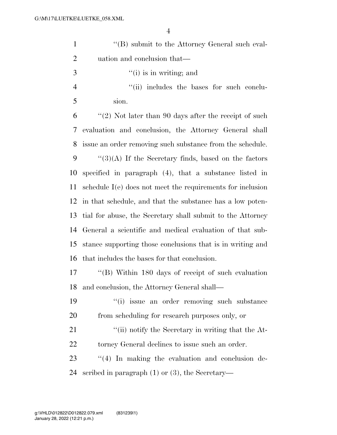| $\mathbf{1}$   | $\lq\lq (B)$ submit to the Attorney General such eval-       |
|----------------|--------------------------------------------------------------|
| $\overline{c}$ | uation and conclusion that—                                  |
| 3              | $f'(i)$ is in writing; and                                   |
| $\overline{4}$ | "(ii) includes the bases for such conclu-                    |
| 5              | sion.                                                        |
| 6              | "(2) Not later than 90 days after the receipt of such        |
| 7              | evaluation and conclusion, the Attorney General shall        |
| 8              | issue an order removing such substance from the schedule.    |
| 9              | $\lq(3)(A)$ If the Secretary finds, based on the factors     |
| 10             | specified in paragraph (4), that a substance listed in       |
| 11             | schedule $I(e)$ does not meet the requirements for inclusion |
| 12             | in that schedule, and that the substance has a low poten-    |
| 13             | tial for abuse, the Secretary shall submit to the Attorney   |
| 14             | General a scientific and medical evaluation of that sub-     |
| 15             | stance supporting those conclusions that is in writing and   |
| 16             | that includes the bases for that conclusion.                 |
| 17             | "(B) Within 180 days of receipt of such evaluation           |
| 18             | and conclusion, the Attorney General shall—                  |
| 19             | "(i) issue an order removing such substance                  |
| 20             | from scheduling for research purposes only, or               |
| 21             | "(ii) notify the Secretary in writing that the At-           |
| 22             | torney General declines to issue such an order.              |
| 23             | $\lq(4)$ In making the evaluation and conclusion de-         |
| 24             | scribed in paragraph $(1)$ or $(3)$ , the Secretary—         |
|                |                                                              |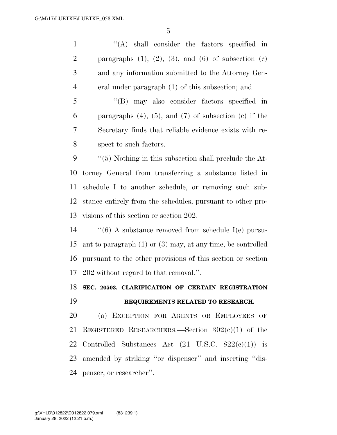''(A) shall consider the factors specified in 2 paragraphs  $(1)$ ,  $(2)$ ,  $(3)$ , and  $(6)$  of subsection  $(c)$  and any information submitted to the Attorney Gen-eral under paragraph (1) of this subsection; and

 ''(B) may also consider factors specified in 6 paragraphs  $(4)$ ,  $(5)$ , and  $(7)$  of subsection  $(e)$  if the Secretary finds that reliable evidence exists with re-spect to such factors.

 ''(5) Nothing in this subsection shall preclude the At- torney General from transferring a substance listed in schedule I to another schedule, or removing such sub- stance entirely from the schedules, pursuant to other pro-visions of this section or section 202.

 ''(6) A substance removed from schedule I(e) pursu- ant to paragraph (1) or (3) may, at any time, be controlled pursuant to the other provisions of this section or section 202 without regard to that removal.''.

### **SEC. 20503. CLARIFICATION OF CERTAIN REGISTRATION REQUIREMENTS RELATED TO RESEARCH.**

 (a) EXCEPTION FOR AGENTS OR EMPLOYEES OF 21 REGISTERED RESEARCHERS.—Section  $302(e)(1)$  of the 22 Controlled Substances Act  $(21 \text{ U.S.C. } 822(e)(1))$  is amended by striking ''or dispenser'' and inserting ''dis-penser, or researcher''.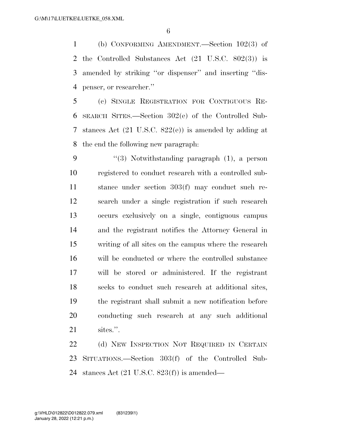(b) CONFORMING AMENDMENT.—Section 102(3) of the Controlled Substances Act (21 U.S.C. 802(3)) is amended by striking ''or dispenser'' and inserting ''dis-penser, or researcher.''

 (c) SINGLE REGISTRATION FOR CONTIGUOUS RE- SEARCH SITES.—Section 302(e) of the Controlled Sub- stances Act (21 U.S.C. 822(e)) is amended by adding at the end the following new paragraph:

 ''(3) Notwithstanding paragraph (1), a person registered to conduct research with a controlled sub- stance under section 303(f) may conduct such re- search under a single registration if such research occurs exclusively on a single, contiguous campus and the registrant notifies the Attorney General in writing of all sites on the campus where the research will be conducted or where the controlled substance will be stored or administered. If the registrant seeks to conduct such research at additional sites, the registrant shall submit a new notification before conducting such research at any such additional sites.''.

22 (d) NEW INSPECTION NOT REQUIRED IN CERTAIN SITUATIONS.—Section 303(f) of the Controlled Sub-stances Act (21 U.S.C. 823(f)) is amended—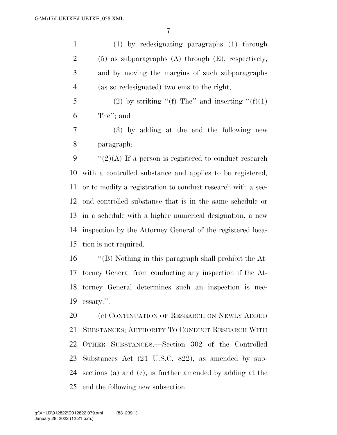(1) by redesignating paragraphs (1) through (5) as subparagraphs (A) through (E), respectively, and by moving the margins of such subparagraphs (as so redesignated) two ems to the right;

5 (2) by striking "(f) The" and inserting " $(f)(1)$ The''; and

 (3) by adding at the end the following new paragraph:

 $\frac{1}{2}(2)(A)$  If a person is registered to conduct research with a controlled substance and applies to be registered, or to modify a registration to conduct research with a sec- ond controlled substance that is in the same schedule or in a schedule with a higher numerical designation, a new inspection by the Attorney General of the registered loca-tion is not required.

 ''(B) Nothing in this paragraph shall prohibit the At- torney General from conducting any inspection if the At- torney General determines such an inspection is nec-essary.''.

 (e) CONTINUATION OF RESEARCH ON NEWLY ADDED SUBSTANCES; AUTHORITY TO CONDUCT RESEARCH WITH OTHER SUBSTANCES.—Section 302 of the Controlled Substances Act (21 U.S.C. 822), as amended by sub- sections (a) and (c), is further amended by adding at the end the following new subsection: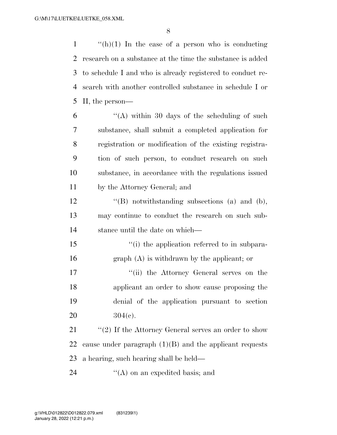$\frac{1}{2}$  (h)(1) In the case of a person who is conducting research on a substance at the time the substance is added to schedule I and who is already registered to conduct re- search with another controlled substance in schedule I or II, the person—

| b  | "(A) within 30 days of the scheduling of such          |
|----|--------------------------------------------------------|
| 7  | substance, shall submit a completed application for    |
| 8  | registration or modification of the existing registra- |
| 9  | tion of such person, to conduct research on such       |
| 10 | substance, in accordance with the regulations issued   |
| 11 | by the Attorney General; and                           |

 ''(B) notwithstanding subsections (a) and (b), may continue to conduct the research on such sub-stance until the date on which—

15  $\frac{1}{10}$  the application referred to in subpara-graph (A) is withdrawn by the applicant; or

17 ''(ii) the Attorney General serves on the applicant an order to show cause proposing the denial of the application pursuant to section 20  $304(c)$ .

21 ''(2) If the Attorney General serves an order to show 22 cause under paragraph  $(1)(B)$  and the applicant requests a hearing, such hearing shall be held—

24  $\langle A \rangle$  on an expedited basis; and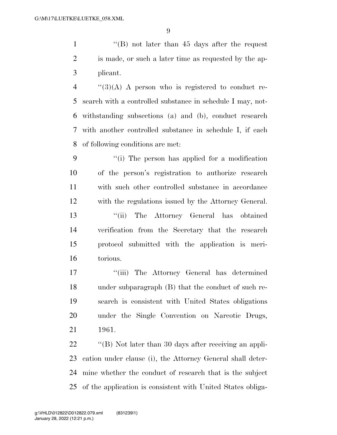1 ''(B) not later than 45 days after the request is made, or such a later time as requested by the ap-plicant.

 ''(3)(A) A person who is registered to conduct re- search with a controlled substance in schedule I may, not- withstanding subsections (a) and (b), conduct research with another controlled substance in schedule I, if each of following conditions are met:

 ''(i) The person has applied for a modification of the person's registration to authorize research with such other controlled substance in accordance with the regulations issued by the Attorney General. ''(ii) The Attorney General has obtained verification from the Secretary that the research protocol submitted with the application is meri-torious.

 ''(iii) The Attorney General has determined under subparagraph (B) that the conduct of such re- search is consistent with United States obligations under the Single Convention on Narcotic Drugs, 1961.

 ''(B) Not later than 30 days after receiving an appli- cation under clause (i), the Attorney General shall deter- mine whether the conduct of research that is the subject of the application is consistent with United States obliga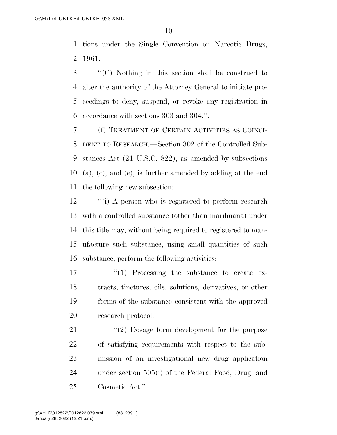tions under the Single Convention on Narcotic Drugs, 1961.

 ''(C) Nothing in this section shall be construed to alter the authority of the Attorney General to initiate pro- ceedings to deny, suspend, or revoke any registration in accordance with sections 303 and 304.''.

 (f) TREATMENT OF CERTAIN ACTIVITIES AS COINCI- DENT TO RESEARCH.—Section 302 of the Controlled Sub- stances Act (21 U.S.C. 822), as amended by subsections (a), (c), and (e), is further amended by adding at the end the following new subsection:

12 "(i) A person who is registered to perform research with a controlled substance (other than marihuana) under this title may, without being required to registered to man- ufacture such substance, using small quantities of such substance, perform the following activities:

 $\frac{17}{2}$   $\frac{17}{2}$  Processing the substance to create ex- tracts, tinctures, oils, solutions, derivatives, or other forms of the substance consistent with the approved research protocol.

21 ''(2) Dosage form development for the purpose of satisfying requirements with respect to the sub- mission of an investigational new drug application under section 505(i) of the Federal Food, Drug, and Cosmetic Act.''.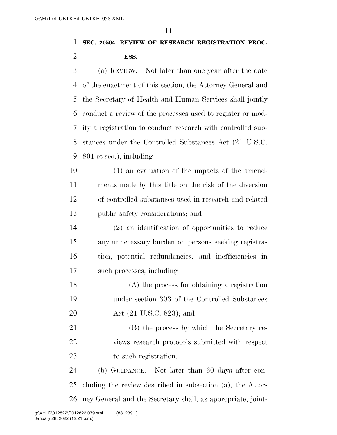**SEC. 20504. REVIEW OF RESEARCH REGISTRATION PROC-ESS.** 

 (a) REVIEW.—Not later than one year after the date of the enactment of this section, the Attorney General and the Secretary of Health and Human Services shall jointly conduct a review of the processes used to register or mod- ify a registration to conduct research with controlled sub- stances under the Controlled Substances Act (21 U.S.C. 801 et seq.), including—

 (1) an evaluation of the impacts of the amend- ments made by this title on the risk of the diversion of controlled substances used in research and related public safety considerations; and

 (2) an identification of opportunities to reduce any unnecessary burden on persons seeking registra- tion, potential redundancies, and inefficiencies in such processes, including—

 (A) the process for obtaining a registration under section 303 of the Controlled Substances Act (21 U.S.C. 823); and

 (B) the process by which the Secretary re- views research protocols submitted with respect 23 to such registration.

 (b) GUIDANCE.—Not later than 60 days after con- cluding the review described in subsection (a), the Attor-ney General and the Secretary shall, as appropriate, joint-